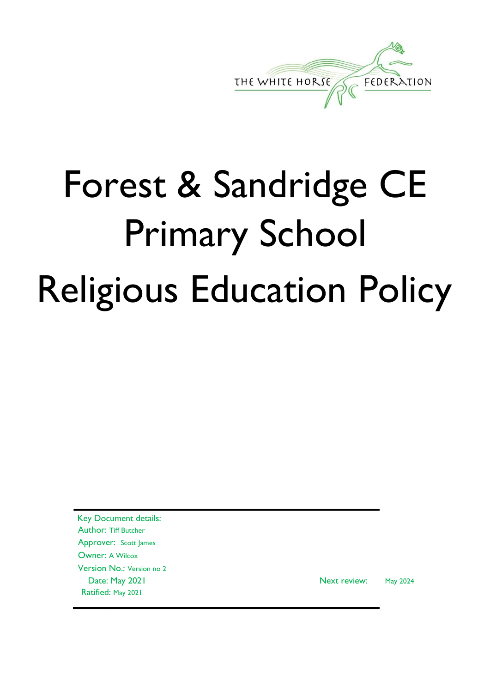

# Forest & Sandridge CE Primary School Religious Education Policy

Key Document details: Author: Tiff Butcher Approver: Scott James Owner: A Wilcox Version No.: Version no 2 Ratified: May 2021

Date: May 2021 Next review: May 2024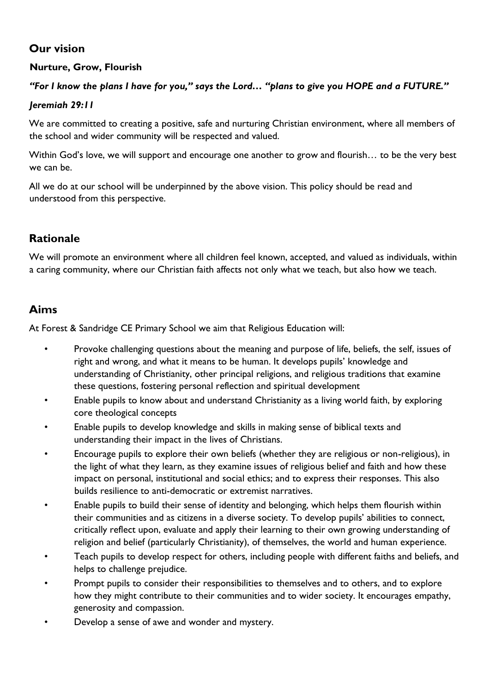# **Our vision**

### **Nurture, Grow, Flourish**

### *"For I know the plans I have for you," says the Lord… "plans to give you HOPE and a FUTURE."*

#### *Jeremiah 29:11*

We are committed to creating a positive, safe and nurturing Christian environment, where all members of the school and wider community will be respected and valued.

Within God's love, we will support and encourage one another to grow and flourish… to be the very best we can be.

All we do at our school will be underpinned by the above vision. This policy should be read and understood from this perspective.

## **Rationale**

We will promote an environment where all children feel known, accepted, and valued as individuals, within a caring community, where our Christian faith affects not only what we teach, but also how we teach.

## **Aims**

At Forest & Sandridge CE Primary School we aim that Religious Education will:

- Provoke challenging questions about the meaning and purpose of life, beliefs, the self, issues of right and wrong, and what it means to be human. It develops pupils' knowledge and understanding of Christianity, other principal religions, and religious traditions that examine these questions, fostering personal reflection and spiritual development
- Enable pupils to know about and understand Christianity as a living world faith, by exploring core theological concepts
- Enable pupils to develop knowledge and skills in making sense of biblical texts and understanding their impact in the lives of Christians.
- Encourage pupils to explore their own beliefs (whether they are religious or non-religious), in the light of what they learn, as they examine issues of religious belief and faith and how these impact on personal, institutional and social ethics; and to express their responses. This also builds resilience to anti-democratic or extremist narratives.
- Enable pupils to build their sense of identity and belonging, which helps them flourish within their communities and as citizens in a diverse society. To develop pupils' abilities to connect, critically reflect upon, evaluate and apply their learning to their own growing understanding of religion and belief (particularly Christianity), of themselves, the world and human experience.
- Teach pupils to develop respect for others, including people with different faiths and beliefs, and helps to challenge prejudice.
- Prompt pupils to consider their responsibilities to themselves and to others, and to explore how they might contribute to their communities and to wider society. It encourages empathy, generosity and compassion.
- Develop a sense of awe and wonder and mystery.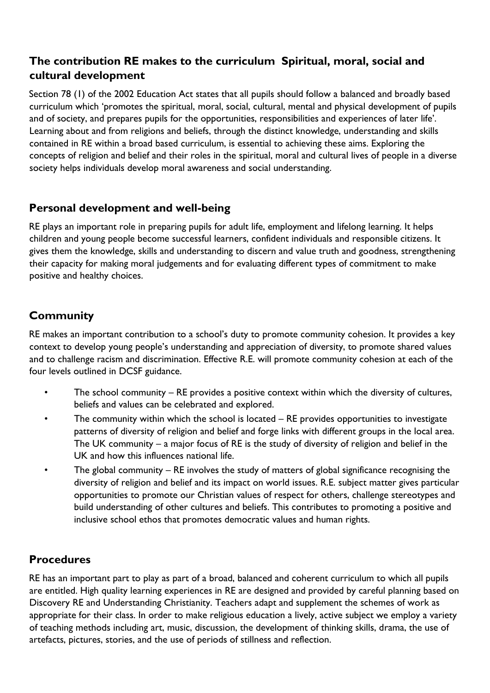# **The contribution RE makes to the curriculum Spiritual, moral, social and cultural development**

Section 78 (1) of the 2002 Education Act states that all pupils should follow a balanced and broadly based curriculum which 'promotes the spiritual, moral, social, cultural, mental and physical development of pupils and of society, and prepares pupils for the opportunities, responsibilities and experiences of later life'. Learning about and from religions and beliefs, through the distinct knowledge, understanding and skills contained in RE within a broad based curriculum, is essential to achieving these aims. Exploring the concepts of religion and belief and their roles in the spiritual, moral and cultural lives of people in a diverse society helps individuals develop moral awareness and social understanding.

## **Personal development and well-being**

RE plays an important role in preparing pupils for adult life, employment and lifelong learning. It helps children and young people become successful learners, confident individuals and responsible citizens. It gives them the knowledge, skills and understanding to discern and value truth and goodness, strengthening their capacity for making moral judgements and for evaluating different types of commitment to make positive and healthy choices.

# **Community**

RE makes an important contribution to a school's duty to promote community cohesion. It provides a key context to develop young people's understanding and appreciation of diversity, to promote shared values and to challenge racism and discrimination. Effective R.E. will promote community cohesion at each of the four levels outlined in DCSF guidance.

- The school community RE provides a positive context within which the diversity of cultures, beliefs and values can be celebrated and explored.
- The community within which the school is located RE provides opportunities to investigate patterns of diversity of religion and belief and forge links with different groups in the local area. The UK community – a major focus of RE is the study of diversity of religion and belief in the UK and how this influences national life.
- The global community RE involves the study of matters of global significance recognising the diversity of religion and belief and its impact on world issues. R.E. subject matter gives particular opportunities to promote our Christian values of respect for others, challenge stereotypes and build understanding of other cultures and beliefs. This contributes to promoting a positive and inclusive school ethos that promotes democratic values and human rights.

# **Procedures**

RE has an important part to play as part of a broad, balanced and coherent curriculum to which all pupils are entitled. High quality learning experiences in RE are designed and provided by careful planning based on Discovery RE and Understanding Christianity. Teachers adapt and supplement the schemes of work as appropriate for their class. In order to make religious education a lively, active subject we employ a variety of teaching methods including art, music, discussion, the development of thinking skills, drama, the use of artefacts, pictures, stories, and the use of periods of stillness and reflection.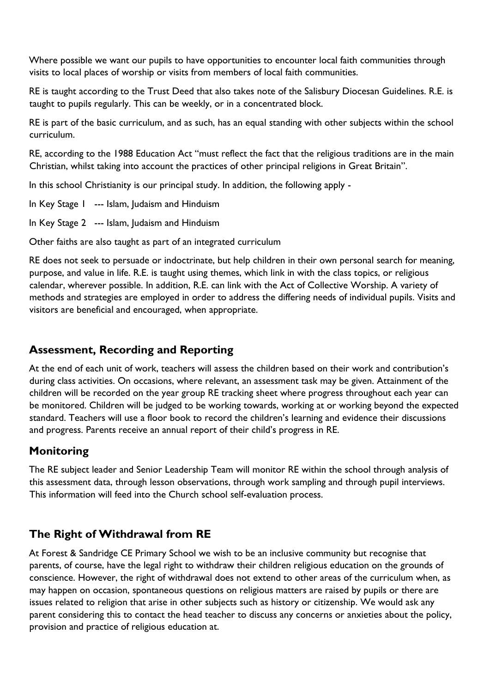Where possible we want our pupils to have opportunities to encounter local faith communities through visits to local places of worship or visits from members of local faith communities.

RE is taught according to the Trust Deed that also takes note of the Salisbury Diocesan Guidelines. R.E. is taught to pupils regularly. This can be weekly, or in a concentrated block.

RE is part of the basic curriculum, and as such, has an equal standing with other subjects within the school curriculum.

RE, according to the 1988 Education Act "must reflect the fact that the religious traditions are in the main Christian, whilst taking into account the practices of other principal religions in Great Britain".

In this school Christianity is our principal study. In addition, the following apply -

In Key Stage 1 --- Islam, Judaism and Hinduism

In Key Stage 2 --- Islam, Judaism and Hinduism

Other faiths are also taught as part of an integrated curriculum

RE does not seek to persuade or indoctrinate, but help children in their own personal search for meaning, purpose, and value in life. R.E. is taught using themes, which link in with the class topics, or religious calendar, wherever possible. In addition, R.E. can link with the Act of Collective Worship. A variety of methods and strategies are employed in order to address the differing needs of individual pupils. Visits and visitors are beneficial and encouraged, when appropriate.

# **Assessment, Recording and Reporting**

At the end of each unit of work, teachers will assess the children based on their work and contribution's during class activities. On occasions, where relevant, an assessment task may be given. Attainment of the children will be recorded on the year group RE tracking sheet where progress throughout each year can be monitored. Children will be judged to be working towards, working at or working beyond the expected standard. Teachers will use a floor book to record the children's learning and evidence their discussions and progress. Parents receive an annual report of their child's progress in RE.

# **Monitoring**

The RE subject leader and Senior Leadership Team will monitor RE within the school through analysis of this assessment data, through lesson observations, through work sampling and through pupil interviews. This information will feed into the Church school self-evaluation process.

# **The Right of Withdrawal from RE**

At Forest & Sandridge CE Primary School we wish to be an inclusive community but recognise that parents, of course, have the legal right to withdraw their children religious education on the grounds of conscience. However, the right of withdrawal does not extend to other areas of the curriculum when, as may happen on occasion, spontaneous questions on religious matters are raised by pupils or there are issues related to religion that arise in other subjects such as history or citizenship. We would ask any parent considering this to contact the head teacher to discuss any concerns or anxieties about the policy, provision and practice of religious education at.